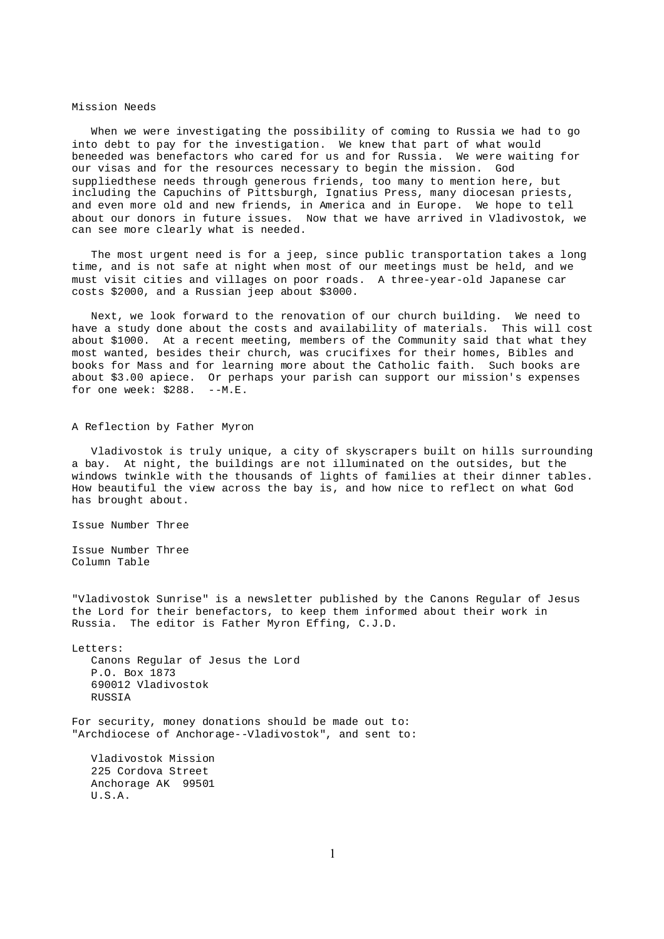## Mission Needs

When we were investigating the possibility of coming to Russia we had to go into debt to pay for the investigation. We knew that part of what would beneeded was benefactors who cared for us and for Russia. We were waiting for our visas and for the resources necessary to begin the mission. God suppliedthese needs through generous friends, too many to mention here, but including the Capuchins of Pittsburgh, Ignatius Press, many diocesan priests, and even more old and new friends, in America and in Europe. We hope to tell about our donors in future issues. Now that we have arrived in Vladivostok, we can see more clearly what is needed.

The most urgent need is for a jeep, since public transportation takes a long time, and is not safe at night when most of our meetings must be held, and we must visit cities and villages on poor roads. A three-year-old Japanese car costs \$2000, and a Russian jeep about \$3000.

Next, we look forward to the renovation of our church building. We need to have a study done about the costs and availability of materials. This will cost about \$1000. At a recent meeting, members of the Community said that what they most wanted, besides their church, was crucifixes for their homes, Bibles and books for Mass and for learning more about the Catholic faith. Such books are about \$3.00 apiece. Or perhaps your parish can support our mission's expenses for one week:  $$288. -M.E.$ 

## A Reflection by Father Myron

Vladivostok is truly unique, a city of skyscrapers built on hills surrounding a bay. At night, the buildings are not illuminated on the outsides, but the windows twinkle with the thousands of lights of families at their dinner tables. How beautiful the view across the bay is, and how nice to reflect on what God has brought about.

Issue Number Three

Issue Number Three Column Table

"Vladivostok Sunrise" is a newsletter published by the Canons Regular of Jesus the Lord for their benefactors, to keep them informed about their work in Russia. The editor is Father Myron Effing, C.J.D.

Letters: Canons Regular of Jesus the Lord P.O. Box 1873 690012 Vladivostok RUSSIA

For security, money donations should be made out to: "Archdiocese of Anchorage--Vladivostok", and sent to:

Vladivostok Mission 225 Cordova Street Anchorage AK 99501 U.S.A.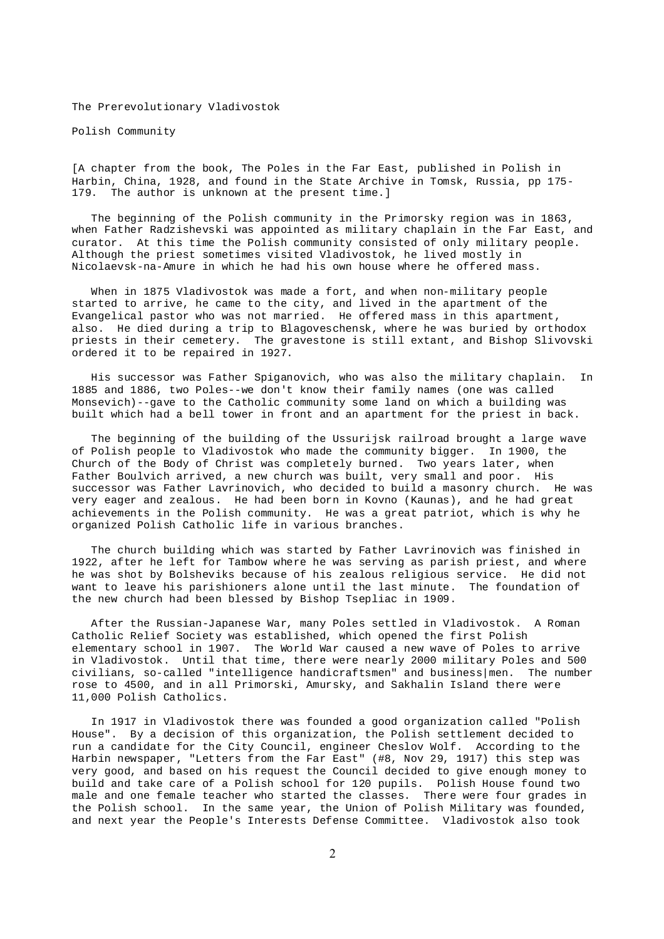The Prerevolutionary Vladivostok

Polish Community

[A chapter from the book, The Poles in the Far East, published in Polish in Harbin, China, 1928, and found in the State Archive in Tomsk, Russia, pp 175- 179. The author is unknown at the present time.]

The beginning of the Polish community in the Primorsky region was in 1863, when Father Radzishevski was appointed as military chaplain in the Far East, and curator. At this time the Polish community consisted of only military people. Although the priest sometimes visited Vladivostok, he lived mostly in Nicolaevsk-na-Amure in which he had his own house where he offered mass.

When in 1875 Vladivostok was made a fort, and when non-military people started to arrive, he came to the city, and lived in the apartment of the Evangelical pastor who was not married. He offered mass in this apartment, also. He died during a trip to Blagoveschensk, where he was buried by orthodox priests in their cemetery. The gravestone is still extant, and Bishop Slivovski ordered it to be repaired in 1927.

His successor was Father Spiganovich, who was also the military chaplain. In 1885 and 1886, two Poles--we don't know their family names (one was called Monsevich)--gave to the Catholic community some land on which a building was built which had a bell tower in front and an apartment for the priest in back.

The beginning of the building of the Ussurijsk railroad brought a large wave of Polish people to Vladivostok who made the community bigger. In 1900, the Church of the Body of Christ was completely burned. Two years later, when Father Boulvich arrived, a new church was built, very small and poor. His successor was Father Lavrinovich, who decided to build a masonry church. He was very eager and zealous. He had been born in Kovno (Kaunas), and he had great achievements in the Polish community. He was a great patriot, which is why he organized Polish Catholic life in various branches.

The church building which was started by Father Lavrinovich was finished in 1922, after he left for Tambow where he was serving as parish priest, and where he was shot by Bolsheviks because of his zealous religious service. He did not want to leave his parishioners alone until the last minute. The foundation of the new church had been blessed by Bishop Tsepliac in 1909.

After the Russian-Japanese War, many Poles settled in Vladivostok. A Roman Catholic Relief Society was established, which opened the first Polish elementary school in 1907. The World War caused a new wave of Poles to arrive in Vladivostok. Until that time, there were nearly 2000 military Poles and 500 civilians, so-called "intelligence handicraftsmen" and business|men. The number rose to 4500, and in all Primorski, Amursky, and Sakhalin Island there were 11,000 Polish Catholics.

In 1917 in Vladivostok there was founded a good organization called "Polish House". By a decision of this organization, the Polish settlement decided to run a candidate for the City Council, engineer Cheslov Wolf. According to the Harbin newspaper, "Letters from the Far East" (#8, Nov 29, 1917) this step was very good, and based on his request the Council decided to give enough money to build and take care of a Polish school for 120 pupils. Polish House found two male and one female teacher who started the classes. There were four grades in the Polish school. In the same year, the Union of Polish Military was founded, and next year the People's Interests Defense Committee. Vladivostok also took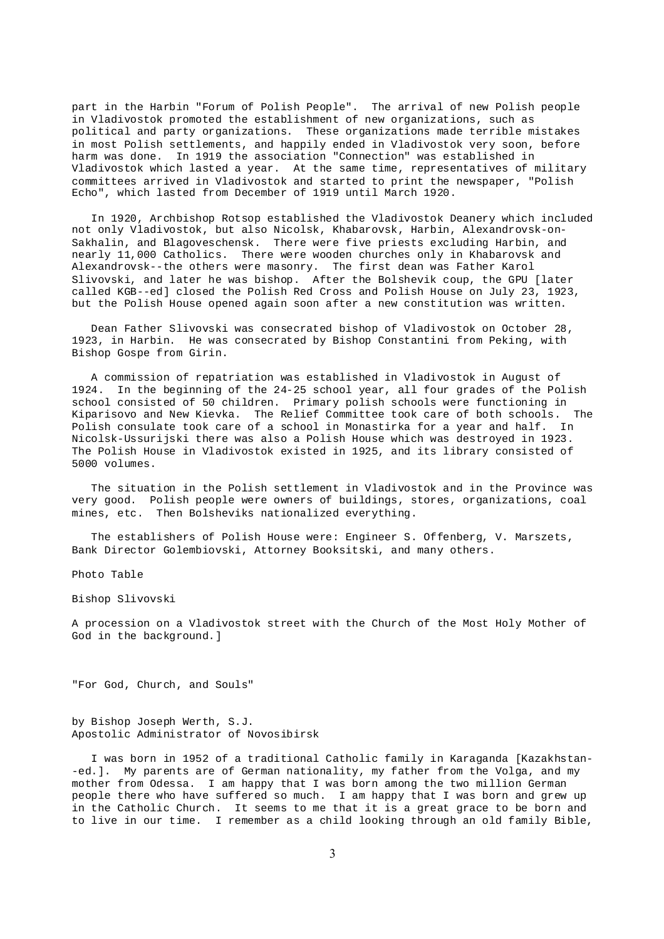part in the Harbin "Forum of Polish People". The arrival of new Polish people in Vladivostok promoted the establishment of new organizations, such as political and party organizations. These organizations made terrible mistakes in most Polish settlements, and happily ended in Vladivostok very soon, before harm was done. In 1919 the association "Connection" was established in Vladivostok which lasted a year. At the same time, representatives of military committees arrived in Vladivostok and started to print the newspaper, "Polish Echo", which lasted from December of 1919 until March 1920.

In 1920, Archbishop Rotsop established the Vladivostok Deanery which included not only Vladivostok, but also Nicolsk, Khabarovsk, Harbin, Alexandrovsk-on-Sakhalin, and Blagoveschensk. There were five priests excluding Harbin, and nearly 11,000 Catholics. There were wooden churches only in Khabarovsk and Alexandrovsk--the others were masonry. The first dean was Father Karol Slivovski, and later he was bishop. After the Bolshevik coup, the GPU [later called KGB--ed] closed the Polish Red Cross and Polish House on July 23, 1923, but the Polish House opened again soon after a new constitution was written.

Dean Father Slivovski was consecrated bishop of Vladivostok on October 28, 1923, in Harbin. He was consecrated by Bishop Constantini from Peking, with Bishop Gospe from Girin.

A commission of repatriation was established in Vladivostok in August of 1924. In the beginning of the 24-25 school year, all four grades of the Polish school consisted of 50 children. Primary polish schools were functioning in Kiparisovo and New Kievka. The Relief Committee took care of both schools. The Polish consulate took care of a school in Monastirka for a year and half. In Nicolsk-Ussurijski there was also a Polish House which was destroyed in 1923. The Polish House in Vladivostok existed in 1925, and its library consisted of 5000 volumes.

The situation in the Polish settlement in Vladivostok and in the Province was very good. Polish people were owners of buildings, stores, organizations, coal mines, etc. Then Bolsheviks nationalized everything.

The establishers of Polish House were: Engineer S. Offenberg, V. Marszets, Bank Director Golembiovski, Attorney Booksitski, and many others.

Photo Table

Bishop Slivovski

A procession on a Vladivostok street with the Church of the Most Holy Mother of God in the background.]

"For God, Church, and Souls"

by Bishop Joseph Werth, S.J. Apostolic Administrator of Novosibirsk

I was born in 1952 of a traditional Catholic family in Karaganda [Kazakhstan- -ed.]. My parents are of German nationality, my father from the Volga, and my mother from Odessa. I am happy that I was born among the two million German people there who have suffered so much. I am happy that I was born and grew up in the Catholic Church. It seems to me that it is a great grace to be born and to live in our time. I remember as a child looking through an old family Bible,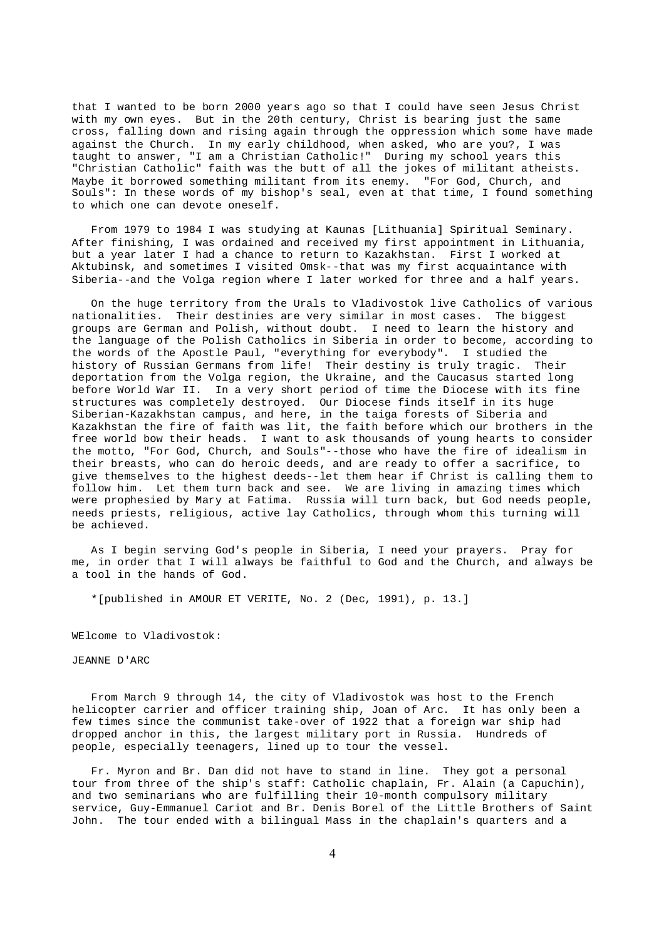that I wanted to be born 2000 years ago so that I could have seen Jesus Christ with my own eyes. But in the 20th century, Christ is bearing just the same cross, falling down and rising again through the oppression which some have made against the Church. In my early childhood, when asked, who are you?, I was taught to answer, "I am a Christian Catholic!" During my school years this "Christian Catholic" faith was the butt of all the jokes of militant atheists. Maybe it borrowed something militant from its enemy. "For God, Church, and Souls": In these words of my bishop's seal, even at that time, I found something to which one can devote oneself.

From 1979 to 1984 I was studying at Kaunas [Lithuania] Spiritual Seminary. After finishing, I was ordained and received my first appointment in Lithuania, but a year later I had a chance to return to Kazakhstan. First I worked at Aktubinsk, and sometimes I visited Omsk--that was my first acquaintance with Siberia--and the Volga region where I later worked for three and a half years.

On the huge territory from the Urals to Vladivostok live Catholics of various nationalities. Their destinies are very similar in most cases. The biggest groups are German and Polish, without doubt. I need to learn the history and the language of the Polish Catholics in Siberia in order to become, according to the words of the Apostle Paul, "everything for everybody". I studied the history of Russian Germans from life! Their destiny is truly tragic. Their deportation from the Volga region, the Ukraine, and the Caucasus started long before World War II. In a very short period of time the Diocese with its fine structures was completely destroyed. Our Diocese finds itself in its huge Siberian-Kazakhstan campus, and here, in the taiga forests of Siberia and Kazakhstan the fire of faith was lit, the faith before which our brothers in the free world bow their heads. I want to ask thousands of young hearts to consider the motto, "For God, Church, and Souls"--those who have the fire of idealism in their breasts, who can do heroic deeds, and are ready to offer a sacrifice, to give themselves to the highest deeds--let them hear if Christ is calling them to follow him. Let them turn back and see. We are living in amazing times which were prophesied by Mary at Fatima. Russia will turn back, but God needs people, needs priests, religious, active lay Catholics, through whom this turning will be achieved.

As I begin serving God's people in Siberia, I need your prayers. Pray for me, in order that I will always be faithful to God and the Church, and always be a tool in the hands of God.

\*[published in AMOUR ET VERITE, No. 2 (Dec, 1991), p. 13.]

WElcome to Vladivostok:

## JEANNE D'ARC

From March 9 through 14, the city of Vladivostok was host to the French helicopter carrier and officer training ship, Joan of Arc. It has only been a few times since the communist take-over of 1922 that a foreign war ship had dropped anchor in this, the largest military port in Russia. Hundreds of people, especially teenagers, lined up to tour the vessel.

Fr. Myron and Br. Dan did not have to stand in line. They got a personal tour from three of the ship's staff: Catholic chaplain, Fr. Alain (a Capuchin), and two seminarians who are fulfilling their 10-month compulsory military service, Guy-Emmanuel Cariot and Br. Denis Borel of the Little Brothers of Saint John. The tour ended with a bilingual Mass in the chaplain's quarters and a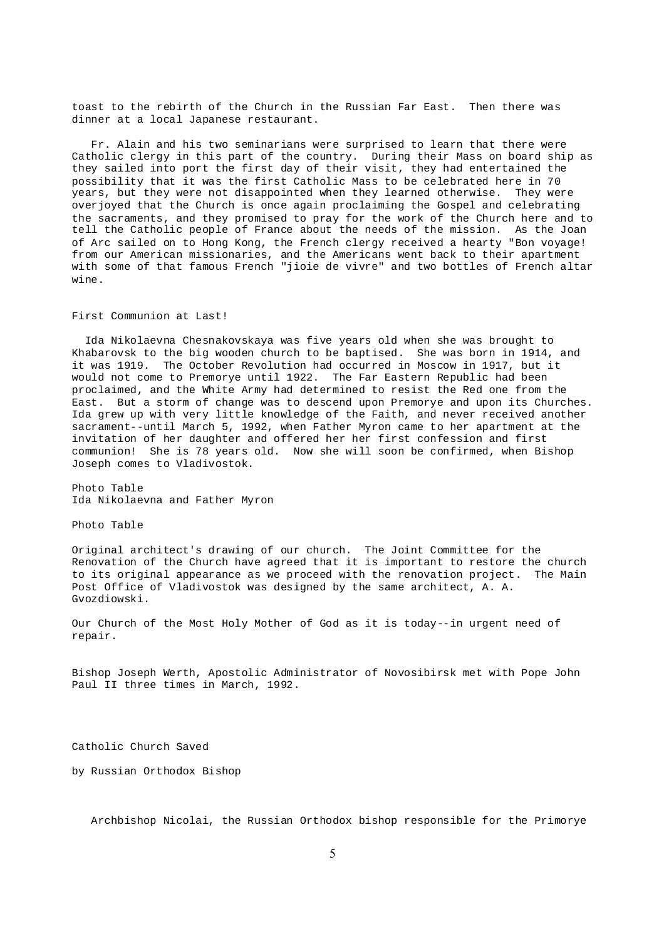toast to the rebirth of the Church in the Russian Far East. Then there was dinner at a local Japanese restaurant.

Fr. Alain and his two seminarians were surprised to learn that there were Catholic clergy in this part of the country. During their Mass on board ship as they sailed into port the first day of their visit, they had entertained the possibility that it was the first Catholic Mass to be celebrated here in 70 years, but they were not disappointed when they learned otherwise. They were overjoyed that the Church is once again proclaiming the Gospel and celebrating the sacraments, and they promised to pray for the work of the Church here and to tell the Catholic people of France about the needs of the mission. As the Joan of Arc sailed on to Hong Kong, the French clergy received a hearty "Bon voyage! from our American missionaries, and the Americans went back to their apartment with some of that famous French "jioie de vivre" and two bottles of French altar wine.

First Communion at Last!

Ida Nikolaevna Chesnakovskaya was five years old when she was brought to Khabarovsk to the big wooden church to be baptised. She was born in 1914, and it was 1919. The October Revolution had occurred in Moscow in 1917, but it would not come to Premorye until 1922. The Far Eastern Republic had been proclaimed, and the White Army had determined to resist the Red one from the East. But a storm of change was to descend upon Premorye and upon its Churches. Ida grew up with very little knowledge of the Faith, and never received another sacrament--until March 5, 1992, when Father Myron came to her apartment at the invitation of her daughter and offered her her first confession and first communion! She is 78 years old. Now she will soon be confirmed, when Bishop Joseph comes to Vladivostok.

Photo Table Ida Nikolaevna and Father Myron

Photo Table

Original architect's drawing of our church. The Joint Committee for the Renovation of the Church have agreed that it is important to restore the church to its original appearance as we proceed with the renovation project. The Main Post Office of Vladivostok was designed by the same architect, A. A. Gvozdiowski.

Our Church of the Most Holy Mother of God as it is today--in urgent need of repair.

Bishop Joseph Werth, Apostolic Administrator of Novosibirsk met with Pope John Paul II three times in March, 1992.

Catholic Church Saved

by Russian Orthodox Bishop

Archbishop Nicolai, the Russian Orthodox bishop responsible for the Primorye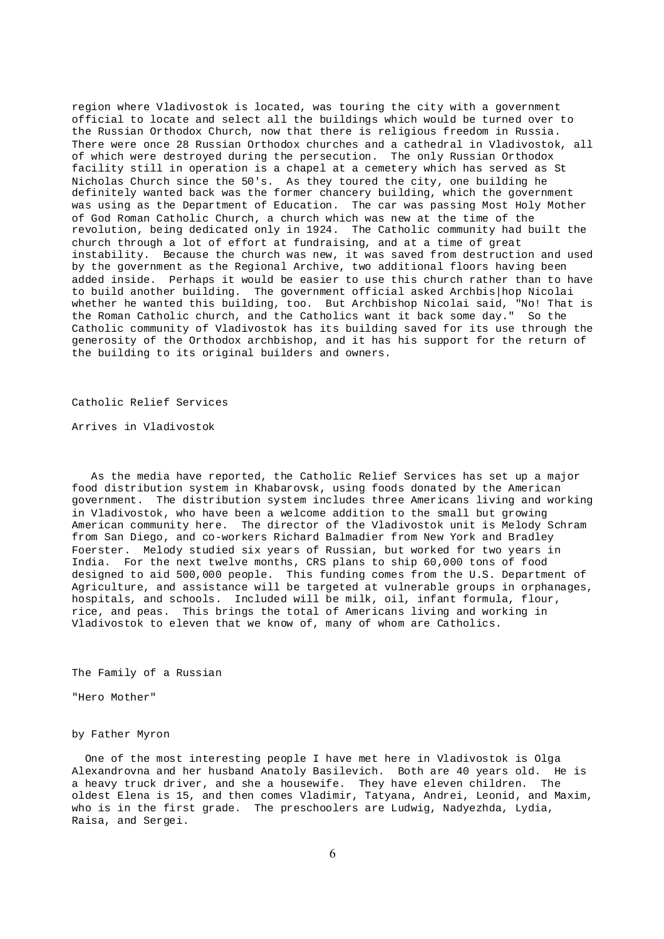region where Vladivostok is located, was touring the city with a government official to locate and select all the buildings which would be turned over to the Russian Orthodox Church, now that there is religious freedom in Russia. There were once 28 Russian Orthodox churches and a cathedral in Vladivostok, all of which were destroyed during the persecution. The only Russian Orthodox facility still in operation is a chapel at a cemetery which has served as St Nicholas Church since the 50's. As they toured the city, one building he definitely wanted back was the former chancery building, which the government was using as the Department of Education. The car was passing Most Holy Mother of God Roman Catholic Church, a church which was new at the time of the revolution, being dedicated only in 1924. The Catholic community had built the church through a lot of effort at fundraising, and at a time of great instability. Because the church was new, it was saved from destruction and used by the government as the Regional Archive, two additional floors having been added inside. Perhaps it would be easier to use this church rather than to have to build another building. The government official asked Archbis|hop Nicolai whether he wanted this building, too. But Archbishop Nicolai said, "No! That is the Roman Catholic church, and the Catholics want it back some day." So the Catholic community of Vladivostok has its building saved for its use through the generosity of the Orthodox archbishop, and it has his support for the return of the building to its original builders and owners.

Catholic Relief Services

Arrives in Vladivostok

As the media have reported, the Catholic Relief Services has set up a major food distribution system in Khabarovsk, using foods donated by the American government. The distribution system includes three Americans living and working in Vladivostok, who have been a welcome addition to the small but growing American community here. The director of the Vladivostok unit is Melody Schram from San Diego, and co-workers Richard Balmadier from New York and Bradley Foerster. Melody studied six years of Russian, but worked for two years in India. For the next twelve months, CRS plans to ship 60,000 tons of food designed to aid 500,000 people. This funding comes from the U.S. Department of Agriculture, and assistance will be targeted at vulnerable groups in orphanages, hospitals, and schools. Included will be milk, oil, infant formula, flour, rice, and peas. This brings the total of Americans living and working in Vladivostok to eleven that we know of, many of whom are Catholics.

The Family of a Russian

"Hero Mother"

by Father Myron

One of the most interesting people I have met here in Vladivostok is Olga Alexandrovna and her husband Anatoly Basilevich. Both are 40 years old. He is a heavy truck driver, and she a housewife. They have eleven children. The oldest Elena is 15, and then comes Vladimir, Tatyana, Andrei, Leonid, and Maxim, who is in the first grade. The preschoolers are Ludwig, Nadyezhda, Lydia, Raisa, and Sergei.